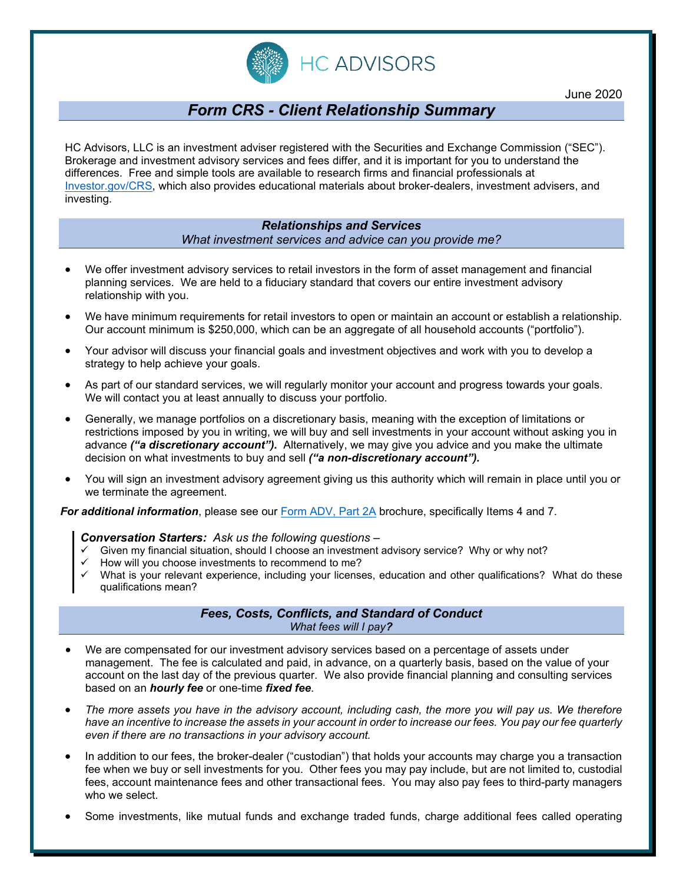

# *Form CRS - Client Relationship Summary*

HC Advisors, LLC is an investment adviser registered with the Securities and Exchange Commission ("SEC"). Brokerage and investment advisory services and fees differ, and it is important for you to understand the differences. Free and simple tools are available to research firms and financial professionals at [Investor.gov/CRS,](https://www.investor.gov/CRS) which also provides educational materials about broker-dealers, investment advisers, and investing.

## *Relationships and Services What investment services and advice can you provide me?*

- We offer investment advisory services to retail investors in the form of asset management and financial planning services. We are held to a fiduciary standard that covers our entire investment advisory relationship with you.
- We have minimum requirements for retail investors to open or maintain an account or establish a relationship. Our account minimum is \$250,000, which can be an aggregate of all household accounts ("portfolio").
- Your advisor will discuss your financial goals and investment objectives and work with you to develop a strategy to help achieve your goals.
- As part of our standard services, we will regularly monitor your account and progress towards your goals. We will contact you at least annually to discuss your portfolio.
- Generally, we manage portfolios on a discretionary basis, meaning with the exception of limitations or restrictions imposed by you in writing, we will buy and sell investments in your account without asking you in advance *("a discretionary account").* Alternatively, we may give you advice and you make the ultimate decision on what investments to buy and sell *("a non-discretionary account").*
- You will sign an investment advisory agreement giving us this authority which will remain in place until you or we terminate the agreement.

*For additional information*, please see our [Form ADV, Part 2A](https://www.hc-adv.com/wp-content/uploads/2020/04/HCA-Form-ADV-Part-2A-Firm-Brochure-20.pdf) brochure, specifically Items 4 and 7.

#### *Conversation Starters: Ask us the following questions –*

- Given my financial situation, should I choose an investment advisory service? Why or why not?
- How will you choose investments to recommend to me?
- What is your relevant experience, including your licenses, education and other qualifications? What do these qualifications mean?

## *Fees, Costs, Conflicts, and Standard of Conduct What fees will I pay?*

- We are compensated for our investment advisory services based on a percentage of assets under management. The fee is calculated and paid, in advance, on a quarterly basis, based on the value of your account on the last day of the previous quarter. We also provide financial planning and consulting services based on an *hourly fee* or one-time *fixed fee*.
- *The more assets you have in the advisory account, including cash, the more you will pay us. We therefore have an incentive to increase the assets in your account in order to increase our fees. You pay our fee quarterly even if there are no transactions in your advisory account.*
- In addition to our fees, the broker-dealer ("custodian") that holds your accounts may charge you a transaction fee when we buy or sell investments for you. Other fees you may pay include, but are not limited to, custodial fees, account maintenance fees and other transactional fees. You may also pay fees to third-party managers who we select.
- Some investments, like mutual funds and exchange traded funds, charge additional fees called operating